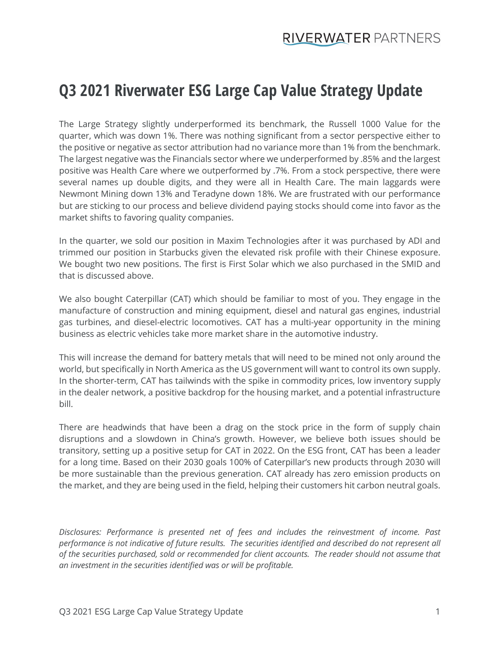## **Q3 2021 Riverwater ESG Large Cap Value Strategy Update**

The Large Strategy slightly underperformed its benchmark, the Russell 1000 Value for the quarter, which was down 1%. There was nothing significant from a sector perspective either to the positive or negative as sector attribution had no variance more than 1% from the benchmark. The largest negative was the Financials sector where we underperformed by .85% and the largest positive was Health Care where we outperformed by .7%. From a stock perspective, there were several names up double digits, and they were all in Health Care. The main laggards were Newmont Mining down 13% and Teradyne down 18%. We are frustrated with our performance but are sticking to our process and believe dividend paying stocks should come into favor as the market shifts to favoring quality companies.

In the quarter, we sold our position in Maxim Technologies after it was purchased by ADI and trimmed our position in Starbucks given the elevated risk profile with their Chinese exposure. We bought two new positions. The first is First Solar which we also purchased in the SMID and that is discussed above.

We also bought Caterpillar (CAT) which should be familiar to most of you. They engage in the manufacture of construction and mining equipment, diesel and natural gas engines, industrial gas turbines, and diesel-electric locomotives. CAT has a multi-year opportunity in the mining business as electric vehicles take more market share in the automotive industry.

This will increase the demand for battery metals that will need to be mined not only around the world, but specifically in North America as the US government will want to control its own supply. In the shorter-term, CAT has tailwinds with the spike in commodity prices, low inventory supply in the dealer network, a positive backdrop for the housing market, and a potential infrastructure bill.

There are headwinds that have been a drag on the stock price in the form of supply chain disruptions and a slowdown in China's growth. However, we believe both issues should be transitory, setting up a positive setup for CAT in 2022. On the ESG front, CAT has been a leader for a long time. Based on their 2030 goals 100% of Caterpillar's new products through 2030 will be more sustainable than the previous generation. CAT already has zero emission products on the market, and they are being used in the field, helping their customers hit carbon neutral goals.

*Disclosures: Performance is presented net of fees and includes the reinvestment of income. Past performance is not indicative of future results. The securities identified and described do not represent all of the securities purchased, sold or recommended for client accounts. The reader should not assume that an investment in the securities identified was or will be profitable.*